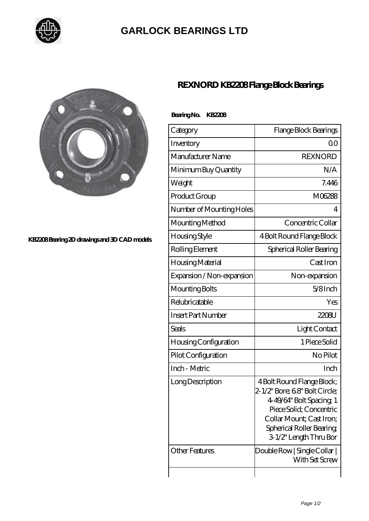

# **[GARLOCK BEARINGS LTD](https://m.letterstopriests.com)**



#### **[KB2208 Bearing 2D drawings and 3D CAD models](https://m.letterstopriests.com/pic-188844.html)**

## **[REXNORD KB2208 Flange Block Bearings](https://m.letterstopriests.com/bj-188844-rexnord-kb2208-flange-block-bearings.html)**

### **Bearing No. KB2208**

| Category                  | Flange Block Bearings                                                                                                                                                                               |
|---------------------------|-----------------------------------------------------------------------------------------------------------------------------------------------------------------------------------------------------|
| Inventory                 | Q0                                                                                                                                                                                                  |
| Manufacturer Name         | <b>REXNORD</b>                                                                                                                                                                                      |
| Minimum Buy Quantity      | N/A                                                                                                                                                                                                 |
| Weight                    | 7.446                                                                                                                                                                                               |
| Product Group             | M06288                                                                                                                                                                                              |
| Number of Mounting Holes  | 4                                                                                                                                                                                                   |
| Mounting Method           | Concentric Collar                                                                                                                                                                                   |
| Housing Style             | 4 Bolt Round Flange Block                                                                                                                                                                           |
| Rolling Element           | Spherical Roller Bearing                                                                                                                                                                            |
| Housing Material          | Cast Iron                                                                                                                                                                                           |
| Expansion / Non-expansion | Non-expansion                                                                                                                                                                                       |
| Mounting Bolts            | $5/8$ Inch                                                                                                                                                                                          |
| Relubricatable            | Yes                                                                                                                                                                                                 |
| <b>Insert Part Number</b> | 2208U                                                                                                                                                                                               |
| Seals                     | Light Contact                                                                                                                                                                                       |
| Housing Configuration     | 1 Piece Solid                                                                                                                                                                                       |
| Pilot Configuration       | No Pilot                                                                                                                                                                                            |
| Inch - Metric             | Inch                                                                                                                                                                                                |
| Long Description          | 4 Bolt Round Flange Block;<br>2-1/2" Bore; 68" Bolt Circle;<br>4-49/64" Bolt Spacing 1<br>Piece Solid; Concentric<br>Collar Mount; Cast Iron;<br>Spherical Roller Bearing<br>3 1/2" Length Thru Bor |
| <b>Other Features</b>     | Double Row   Single Collar  <br>With Set Screw                                                                                                                                                      |
|                           |                                                                                                                                                                                                     |